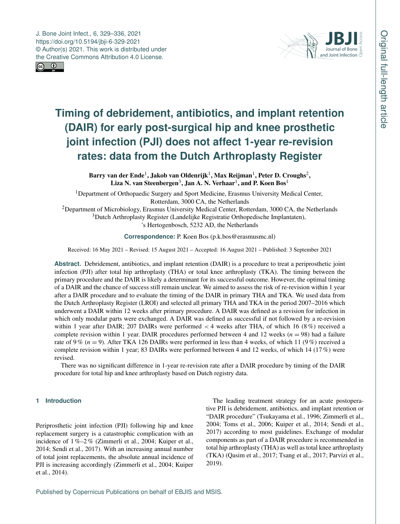J. Bone Joint Infect., 6, 329–336, 2021 https://doi.org/10.5194/jbji-6-329-2021 © Author(s) 2021. This work is distributed under the Creative Commons Attribution 4.0 License.





# **Timing of debridement, antibiotics, and implant retention (DAIR) for early post-surgical hip and knee prosthetic joint infection (PJI) does not affect 1-year re-revision rates: data from the Dutch Arthroplasty Register**

Barry van der Ende $^1$  $^1$ , Jakob van Oldenrijk $^1$ , Max Reijman $^1$ , Peter D. Croughs $^2,$  $^2,$  $^2,$ Liza N. van Steenbergen<sup>[3](#page-0-0)</sup>, Jan A. N. Verhaar<sup>[1](#page-0-0)</sup>, and P. Koen Bos<sup>1</sup>

<sup>1</sup>Department of Orthopaedic Surgery and Sport Medicine, Erasmus University Medical Center, Rotterdam, 3000 CA, the Netherlands

<sup>2</sup>Department of Microbiology, Erasmus University Medical Center, Rotterdam, 3000 CA, the Netherlands <sup>3</sup>Dutch Arthroplasty Register (Landelijke Registratie Orthopedische Implantaten),

's Hertogenbosch, 5232 AD, the Netherlands

**Correspondence:** P. Koen Bos (p.k.bos@erasmusmc.nl)

Received: 16 May 2021 – Revised: 15 August 2021 – Accepted: 16 August 2021 – Published: 3 September 2021

**Abstract.** Debridement, antibiotics, and implant retention (DAIR) is a procedure to treat a periprosthetic joint infection (PJI) after total hip arthroplasty (THA) or total knee arthroplasty (TKA). The timing between the primary procedure and the DAIR is likely a determinant for its successful outcome. However, the optimal timing of a DAIR and the chance of success still remain unclear. We aimed to assess the risk of re-revision within 1 year after a DAIR procedure and to evaluate the timing of the DAIR in primary THA and TKA. We used data from the Dutch Arthroplasty Register (LROI) and selected all primary THA and TKA in the period 2007–2016 which underwent a DAIR within 12 weeks after primary procedure. A DAIR was defined as a revision for infection in which only modular parts were exchanged. A DAIR was defined as successful if not followed by a re-revision within 1 year after DAIR; 207 DAIRs were performed  $<$  4 weeks after THA, of which 16 (8%) received a complete revision within 1 year. DAIR procedures performed between 4 and 12 weeks ( $n = 98$ ) had a failure rate of 9 % ( $n = 9$ ). After TKA 126 DAIRs were performed in less than 4 weeks, of which 11 (9 %) received a complete revision within 1 year; 83 DAIRs were performed between 4 and 12 weeks, of which 14 (17 %) were revised.

There was no significant difference in 1-year re-revision rate after a DAIR procedure by timing of the DAIR procedure for total hip and knee arthroplasty based on Dutch registry data.

# <span id="page-0-0"></span>**1 Introduction**

Periprosthetic joint infection (PJI) following hip and knee replacement surgery is a catastrophic complication with an incidence of 1 %–2 % (Zimmerli et al., 2004; Kuiper et al., 2014; Sendi et al., 2017). With an increasing annual number of total joint replacements, the absolute annual incidence of PJI is increasing accordingly (Zimmerli et al., 2004; Kuiper et al., 2014).

The leading treatment strategy for an acute postoperative PJI is debridement, antibiotics, and implant retention or "DAIR procedure" (Tsukayama et al., 1996; Zimmerli et al., 2004; Toms et al., 2006; Kuiper et al., 2014; Sendi et al., 2017) according to most guidelines. Exchange of modular components as part of a DAIR procedure is recommended in total hip arthroplasty (THA) as well as total knee arthroplasty (TKA) (Qasim et al., 2017; Tsang et al., 2017; Parvizi et al., 2019).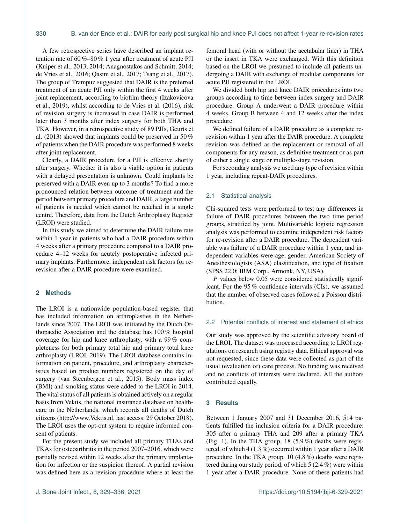A few retrospective series have described an implant retention rate of 60 %–80 % 1 year after treatment of acute PJI (Kuiper et al., 2013, 2014; Anagnostakos and Schmitt, 2014; de Vries et al., 2016; Qasim et al., 2017; Tsang et al., 2017). The group of Trampuz suggested that DAIR is the preferred treatment of an acute PJI only within the first 4 weeks after joint replacement, according to biofilm theory (Izakovicova et al., 2019), whilst according to de Vries et al. (2016), risk of revision surgery is increased in case DAIR is performed later than 3 months after index surgery for both THA and TKA. However, in a retrospective study of 89 PJIs, Geurts et al. (2013) showed that implants could be preserved in 50 % of patients when the DAIR procedure was performed 8 weeks after joint replacement.

Clearly, a DAIR procedure for a PJI is effective shortly after surgery. Whether it is also a viable option in patients with a delayed presentation is unknown. Could implants be preserved with a DAIR even up to 3 months? To find a more pronounced relation between outcome of treatment and the period between primary procedure and DAIR, a large number of patients is needed which cannot be reached in a single centre. Therefore, data from the Dutch Arthroplasty Register (LROI) were studied.

In this study we aimed to determine the DAIR failure rate within 1 year in patients who had a DAIR procedure within 4 weeks after a primary procedure compared to a DAIR procedure 4–12 weeks for acutely postoperative infected primary implants. Furthermore, independent risk factors for rerevision after a DAIR procedure were examined.

## **2 Methods**

The LROI is a nationwide population-based register that has included information on arthroplasties in the Netherlands since 2007. The LROI was initiated by the Dutch Orthopaedic Association and the database has 100 % hospital coverage for hip and knee arthroplasty, with a 99 % completeness for both primary total hip and primary total knee arthroplasty (LROI, 2019). The LROI database contains information on patient, procedure, and arthroplasty characteristics based on product numbers registered on the day of surgery (van Steenbergen et al., 2015). Body mass index (BMI) and smoking status were added to the LROI in 2014. The vital status of all patients is obtained actively on a regular basis from Vektis, the national insurance database on healthcare in the Netherlands, which records all deaths of Dutch citizens [\(http://www.Vektis.nl,](http://www.Vektis.nl) last access: 29 October 2018). The LROI uses the opt-out system to require informed consent of patients.

For the present study we included all primary THAs and TKAs for osteoarthritis in the period 2007–2016, which were partially revised within 12 weeks after the primary implantation for infection or the suspicion thereof. A partial revision was defined here as a revision procedure where at least the femoral head (with or without the acetabular liner) in THA or the insert in TKA were exchanged. With this definition based on the LROI we presumed to include all patients undergoing a DAIR with exchange of modular components for acute PJI registered in the LROI.

We divided both hip and knee DAIR procedures into two groups according to time between index surgery and DAIR procedure. Group A underwent a DAIR procedure within 4 weeks, Group B between 4 and 12 weeks after the index procedure.

We defined failure of a DAIR procedure as a complete rerevision within 1 year after the DAIR procedure. A complete revision was defined as the replacement or removal of all components for any reason, as definitive treatment or as part of either a single stage or multiple-stage revision.

For secondary analysis we used any type of revision within 1 year, including repeat-DAIR procedures.

#### 2.1 Statistical analysis

Chi-squared tests were performed to test any differences in failure of DAIR procedures between the two time period groups, stratified by joint. Multivariable logistic regression analysis was performed to examine independent risk factors for re-revision after a DAIR procedure. The dependent variable was failure of a DAIR procedure within 1 year, and independent variables were age, gender, American Society of Anesthesiologists (ASA) classification, and type of fixation (SPSS 22.0; IBM Corp., Armonk, NY, USA).

P values below 0.05 were considered statistically significant. For the 95 % confidence intervals (CIs), we assumed that the number of observed cases followed a Poisson distribution.

### 2.2 Potential conflicts of interest and statement of ethics

Our study was approved by the scientific advisory board of the LROI. The dataset was processed according to LROI regulations on research using registry data. Ethical approval was not requested, since these data were collected as part of the usual (evaluation of) care process. No funding was received and no conflicts of interests were declared. All the authors contributed equally.

#### **3 Results**

Between 1 January 2007 and 31 December 2016, 514 patients fulfilled the inclusion criteria for a DAIR procedure: 305 after a primary THA and 209 after a primary TKA (Fig. 1). In the THA group,  $18$  (5.9%) deaths were registered, of which 4 (1.3 %) occurred within 1 year after a DAIR procedure. In the TKA group, 10 (4.8 %) deaths were registered during our study period, of which 5 (2.4 %) were within 1 year after a DAIR procedure. None of these patients had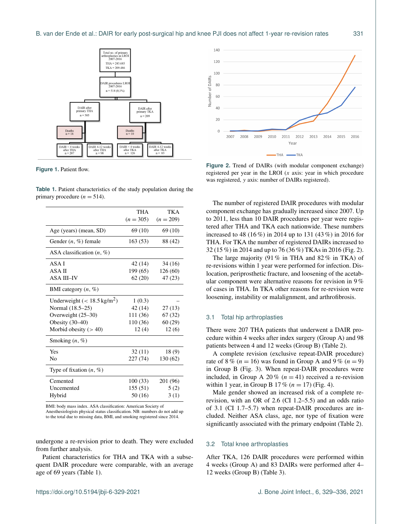

**Figure 1.** Patient flow.

**Table 1.** Patient characteristics of the study population during the primary procedure  $(n = 514)$ .

|                                       | THA         | TK A        |
|---------------------------------------|-------------|-------------|
|                                       | $(n = 305)$ | $(n = 209)$ |
| Age (years) (mean, SD)                | 69 (10)     | 69 (10)     |
| Gender $(n, \%)$ female               | 163(53)     | 88 (42)     |
| ASA classification $(n, \%)$          |             |             |
| ASA I                                 | 42 (14)     | 34 (16)     |
| ASA II                                | 199 (65)    | 126(60)     |
| <b>ASA III-IV</b>                     | 62(20)      | 47 (23)     |
| BMI category $(n, \%)$                |             |             |
| Underweight $(< 18.5 \text{ kg/m}^2)$ | 1(0.3)      |             |
| Normal (18.5-25)                      | 42 (14)     | 27(13)      |
| Overweight (25–30)                    | 111 (36)    | 67(32)      |
| Obesity $(30-40)$                     | 110(36)     | 60(29)      |
| Morbid obesity $(>40)$                | 12(4)       | 12(6)       |
| Smoking $(n, \%)$                     |             |             |
| Yes                                   | 32 (11)     | 18(9)       |
| No                                    | 227(74)     | 130 (62)    |
| Type of fixation $(n, \%)$            |             |             |
| Cemented                              | 100(33)     | 201 (96)    |
| Uncemented                            | 155(51)     | 5(2)        |
| Hybrid                                | 50 (16)     | 3(1)        |

BMI: body mass index. ASA classification: American Society of

Anesthesiologists physical status classification. NB: numbers do not add up to the total due to missing data, BMI, and smoking registered since 2014.

undergone a re-revision prior to death. They were excluded from further analysis.

Patient characteristics for THA and TKA with a subsequent DAIR procedure were comparable, with an average age of 69 years (Table 1).



**Figure 2.** Trend of DAIRs (with modular component exchange) registered per year in the LROI (x axis: year in which procedure was registered, y axis: number of DAIRs registered).

The number of registered DAIR procedures with modular component exchange has gradually increased since 2007. Up to 2011, less than 10 DAIR procedures per year were registered after THA and TKA each nationwide. These numbers increased to 48 (16 %) in 2014 up to 131 (43 %) in 2016 for THA. For TKA the number of registered DAIRs increased to 32 (15 %) in 2014 and up to 76 (36 %) TKAs in 2016 (Fig. 2).

The large majority (91 % in THA and 82 % in TKA) of re-revisions within 1 year were performed for infection. Dislocation, periprosthetic fracture, and loosening of the acetabular component were alternative reasons for revision in 9 % of cases in THA. In TKA other reasons for re-revision were loosening, instability or malalignment, and arthrofibrosis.

#### 3.1 Total hip arthroplasties

There were 207 THA patients that underwent a DAIR procedure within 4 weeks after index surgery (Group A) and 98 patients between 4 and 12 weeks (Group B) (Table 2).

A complete revision (exclusive repeat-DAIR procedure) rate of 8 % ( $n = 16$ ) was found in Group A and 9 % ( $n = 9$ ) in Group B (Fig. 3). When repeat-DAIR procedures were included, in Group A 20% ( $n = 41$ ) received a re-revision within 1 year, in Group B 17% ( $n = 17$ ) (Fig. 4).

Male gender showed an increased risk of a complete rerevision, with an OR of 2.6 (CI 1.2–5.5) and an odds ratio of 3.1 (CI 1.7–5.7) when repeat-DAIR procedures are included. Neither ASA class, age, nor type of fixation were significantly associated with the primary endpoint (Table 2).

#### 3.2 Total knee arthroplasties

After TKA, 126 DAIR procedures were performed within 4 weeks (Group A) and 83 DAIRs were performed after 4– 12 weeks (Group B) (Table 3).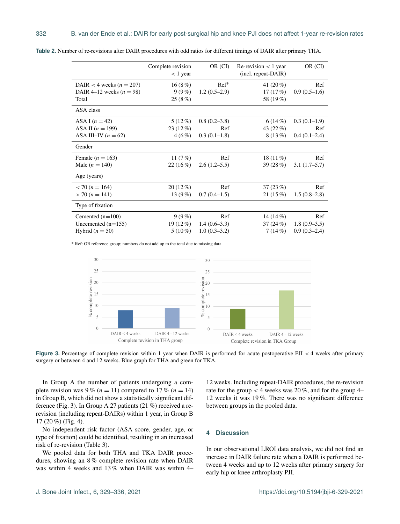|                            | Complete revision<br>$<$ 1 year | OR (CI)        | Re-revision $\lt 1$ year<br>(incl. repeat-DAIR) | OR (CI)        |
|----------------------------|---------------------------------|----------------|-------------------------------------------------|----------------|
| DAIR < 4 weeks $(n = 207)$ | 16(8%)                          | $Ref*$         | 41 $(20\%)$                                     | Ref            |
| DAIR 4-12 weeks $(n = 98)$ | $9(9\%)$                        | $1.2(0.5-2.9)$ | 17(17%)                                         | $0.9(0.5-1.6)$ |
| Total                      | 25(8%)                          |                | 58 (19%)                                        |                |
| ASA class                  |                                 |                |                                                 |                |
| ASA I $(n = 42)$           | $5(12\%)$                       | $0.8(0.2-3.8)$ | 6(14%)                                          | $0.3(0.1-1.9)$ |
| ASA II $(n = 199)$         | $23(12\%)$                      | Ref            | 43 (22 %)                                       | Ref            |
| ASA III-IV $(n = 62)$      | $4(6\%)$                        | $0.3(0.1-1.8)$ | $8(13\%)$                                       | $0.4(0.1-2.4)$ |
| Gender                     |                                 |                |                                                 |                |
| Female ( $n = 163$ )       | 11 $(7%)$                       | Ref            | 18 $(11\%)$                                     | Ref            |
| Male $(n = 140)$           | 22(16%)                         | $2.6(1.2-5.5)$ | 39 (28 %)                                       | $3.1(1.7-5.7)$ |
| Age (years)                |                                 |                |                                                 |                |
| $<$ 70 (n = 164)           | $20(12\%)$                      | Ref            | 37(23%)                                         | Ref            |
| $>$ 70 (n = 141)           | 13 $(9\%)$                      | $0.7(0.4-1.5)$ | 21(15%)                                         | $1.5(0.8-2.8)$ |
| Type of fixation           |                                 |                |                                                 |                |
| Cemented $(n=100)$         | $9(9\%)$                        | Ref            | 14 $(14\%)$                                     | Ref            |
| Uncemented $(n=155)$       | $19(12\%)$                      | $1.4(0.6-3.3)$ | 37(24%)                                         | $1.8(0.9-3.5)$ |
| Hybrid ( $n = 50$ )        | $5(10\%)$                       | $1.0(0.3-3.2)$ | 7(14%)                                          | $0.9(0.3-2.4)$ |

**Table 2.** Number of re-revisions after DAIR procedures with odd ratios for different timings of DAIR after primary THA.

<sup>∗</sup> Ref: OR reference group; numbers do not add up to the total due to missing data.



Figure 3. Percentage of complete revision within 1 year when DAIR is performed for acute postoperative PJI < 4 weeks after primary surgery or between 4 and 12 weeks. Blue graph for THA and green for TKA.

In Group A the number of patients undergoing a complete revision was 9 % ( $n = 11$ ) compared to 17 % ( $n = 14$ ) in Group B, which did not show a statistically significant difference (Fig. 3). In Group A 27 patients (21 %) received a rerevision (including repeat-DAIRs) within 1 year, in Group B 17 (20 %) (Fig. 4).

No independent risk factor (ASA score, gender, age, or type of fixation) could be identified, resulting in an increased risk of re-revision (Table 3).

We pooled data for both THA and TKA DAIR procedures, showing an 8 % complete revision rate when DAIR was within 4 weeks and 13 % when DAIR was within 4–

12 weeks. Including repeat-DAIR procedures, the re-revision rate for the group < 4 weeks was 20 %, and for the group 4– 12 weeks it was 19 %. There was no significant difference between groups in the pooled data.

#### **4 Discussion**

In our observational LROI data analysis, we did not find an increase in DAIR failure rate when a DAIR is performed between 4 weeks and up to 12 weeks after primary surgery for early hip or knee arthroplasty PJI.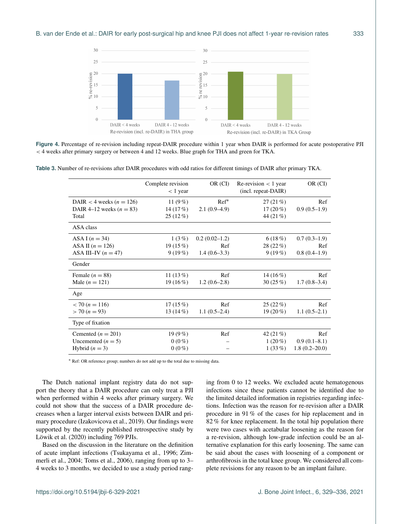

**Figure 4.** Percentage of re-revision including repeat-DAIR procedure within 1 year when DAIR is performed for acute postoperative PJI < 4 weeks after primary surgery or between 4 and 12 weeks. Blue graph for THA and green for TKA.

**Table 3.** Number of re-revisions after DAIR procedures with odd ratios for different timings of DAIR after primary TKA.

|                              | Complete revision | OR (CI)         | Re-revision $\lt$ 1 year | OR (CI)           |
|------------------------------|-------------------|-----------------|--------------------------|-------------------|
|                              | $< 1$ year        |                 | (incl. repeat-DAIR)      |                   |
|                              |                   |                 |                          |                   |
| DAIR < 4 weeks ( $n = 126$ ) | 11 $(9\%)$        | $Ref*$          | 27(21%)                  | Ref               |
| DAIR 4–12 weeks $(n = 83)$   | 14 $(17%)$        | $2.1(0.9-4.9)$  | $17(20\%)$               | $0.9(0.5-1.9)$    |
| Total                        | $25(12\%)$        |                 | 44 (21 %)                |                   |
| ASA class                    |                   |                 |                          |                   |
| ASA I $(n = 34)$             | 1(3%)             | $0.2(0.02-1.2)$ | 6(18%)                   | $0.7(0.3-1.9)$    |
| ASA II $(n = 126)$           | 19(15%)           | Ref             | 28(22%)                  | Ref               |
| ASA III-IV $(n = 47)$        | $9(19\%)$         | $1.4(0.6-3.3)$  | $9(19\%)$                | $0.8(0.4-1.9)$    |
| Gender                       |                   |                 |                          |                   |
| Female $(n = 88)$            | 11 $(13\%)$       | Ref             | 14 $(16\%)$              | Ref               |
| Male $(n = 121)$             | 19(16%)           | $1.2(0.6-2.8)$  | 30(25%)                  | $1.7(0.8-3.4)$    |
| Age                          |                   |                 |                          |                   |
| $<$ 70 (n = 116)             | 17(15%)           | Ref             | 25(22%)                  | Ref               |
| $>$ 70 (n = 93)              | 13 $(14\%)$       | $1.1(0.5-2.4)$  | $19(20\%)$               | $1.1(0.5-2.1)$    |
| Type of fixation             |                   |                 |                          |                   |
| Cemented $(n = 201)$         | 19 $(9\%)$        | Ref             | 42 $(21\%)$              | Ref               |
| Uncemented $(n = 5)$         | $0(0\%)$          |                 | $1(20\%)$                | $0.9(0.1-8.1)$    |
| Hybrid $(n = 3)$             | $0(0\%)$          |                 | $1(33\%)$                | $1.8(0.2 - 20.0)$ |

<sup>∗</sup> Ref: OR reference group; numbers do not add up to the total due to missing data.

The Dutch national implant registry data do not support the theory that a DAIR procedure can only treat a PJI when performed within 4 weeks after primary surgery. We could not show that the success of a DAIR procedure decreases when a larger interval exists between DAIR and primary procedure (Izakovicova et al., 2019). Our findings were supported by the recently published retrospective study by Löwik et al. (2020) including 769 PJIs.

Based on the discussion in the literature on the definition of acute implant infections (Tsukayama et al., 1996; Zimmerli et al., 2004; Toms et al., 2006), ranging from up to 3– 4 weeks to 3 months, we decided to use a study period ranging from 0 to 12 weeks. We excluded acute hematogenous infections since these patients cannot be identified due to the limited detailed information in registries regarding infections. Infection was the reason for re-revision after a DAIR procedure in 91 % of the cases for hip replacement and in 82 % for knee replacement. In the total hip population there were two cases with acetabular loosening as the reason for a re-revision, although low-grade infection could be an alternative explanation for this early loosening. The same can be said about the cases with loosening of a component or arthrofibrosis in the total knee group. We considered all complete revisions for any reason to be an implant failure.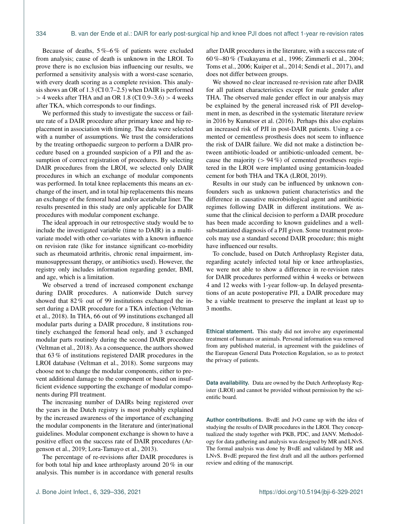Because of deaths,  $5\% -6\%$  of patients were excluded from analysis; cause of death is unknown in the LROI. To prove there is no exclusion bias influencing our results, we performed a sensitivity analysis with a worst-case scenario, with every death scoring as a complete revision. This analysis shows an OR of 1.3 (CI 0.7–2.5) when DAIR is performed  $>$  4 weeks after THA and an OR 1.8 (CI 0.9–3.6)  $>$  4 weeks after TKA, which corresponds to our findings.

We performed this study to investigate the success or failure rate of a DAIR procedure after primary knee and hip replacement in association with timing. The data were selected with a number of assumptions. We trust the considerations by the treating orthopaedic surgeon to perform a DAIR procedure based on a grounded suspicion of a PJI and the assumption of correct registration of procedures. By selecting DAIR procedures from the LROI, we selected only DAIR procedures in which an exchange of modular components was performed. In total knee replacements this means an exchange of the insert, and in total hip replacements this means an exchange of the femoral head and/or acetabular liner. The results presented in this study are only applicable for DAIR procedures with modular component exchange.

The ideal approach in our retrospective study would be to include the investigated variable (time to DAIR) in a multivariate model with other co-variates with a known influence on revision rate (like for instance significant co-morbidity such as rheumatoid arthritis, chronic renal impairment, immunosuppressant therapy, or antibiotics used). However, the registry only includes information regarding gender, BMI, and age, which is a limitation.

We observed a trend of increased component exchange during DAIR procedures. A nationwide Dutch survey showed that 82 % out of 99 institutions exchanged the insert during a DAIR procedure for a TKA infection (Veltman et al., 2018). In THA, 66 out of 99 institutions exchanged all modular parts during a DAIR procedure, 8 institutions routinely exchanged the femoral head only, and 3 exchanged modular parts routinely during the second DAIR procedure (Veltman et al., 2018). As a consequence, the authors showed that 63 % of institutions registered DAIR procedures in the LROI database (Veltman et al., 2018). Some surgeons may choose not to change the modular components, either to prevent additional damage to the component or based on insufficient evidence supporting the exchange of modular components during PJI treatment.

The increasing number of DAIRs being registered over the years in the Dutch registry is most probably explained by the increased awareness of the importance of exchanging the modular components in the literature and (inter)national guidelines. Modular component exchange is shown to have a positive effect on the success rate of DAIR procedures (Argenson et al., 2019; Lora-Tamayo et al., 2013).

The percentage of re-revisions after DAIR procedures is for both total hip and knee arthroplasty around 20 % in our analysis. This number is in accordance with general results after DAIR procedures in the literature, with a success rate of 60 %–80 % (Tsukayama et al., 1996; Zimmerli et al., 2004; Toms et al., 2006; Kuiper et al., 2014; Sendi et al., 2017), and does not differ between groups.

We showed no clear increased re-revision rate after DAIR for all patient characteristics except for male gender after THA. The observed male gender effect in our analysis may be explained by the general increased risk of PJI development in men, as described in the systematic literature review in 2016 by Kunutsor et al. (2016). Perhaps this also explains an increased risk of PJI in post-DAIR patients. Using a cemented or cementless prosthesis does not seem to influence the risk of DAIR failure. We did not make a distinction between antibiotic-loaded or antibiotic-unloaded cement, because the majority  $(> 94\%)$  of cemented prostheses registered in the LROI were implanted using gentamicin-loaded cement for both THA and TKA (LROI, 2019).

Results in our study can be influenced by unknown confounders such as unknown patient characteristics and the difference in causative microbiological agent and antibiotic regimes following DAIR in different institutions. We assume that the clinical decision to perform a DAIR procedure has been made according to known guidelines and a wellsubstantiated diagnosis of a PJI given. Some treatment protocols may use a standard second DAIR procedure; this might have influenced our results.

To conclude, based on Dutch Arthroplasty Register data, regarding acutely infected total hip or knee arthroplasties, we were not able to show a difference in re-revision rates for DAIR procedures performed within 4 weeks or between 4 and 12 weeks with 1-year follow-up. In delayed presentations of an acute postoperative PJI, a DAIR procedure may be a viable treatment to preserve the implant at least up to 3 months.

**Ethical statement.** This study did not involve any experimental treatment of humans or animals. Personal information was removed from any published material, in agreement with the guidelines of the European General Data Protection Regulation, so as to protect the privacy of patients.

**Data availability.** Data are owned by the Dutch Arthroplasty Register (LROI) and cannot be provided without permission by the scientific board.

**Author contributions.** BvdE and JvO came up with the idea of studying the results of DAIR procedures in the LROI. They conceptualized the study together with PKB, PDC, and JANV. Methodology for data gathering and analysis was designed by MR and LNvS. The formal analysis was done by BvdE and validated by MR and LNvS. BvdE prepared the first draft and all the authors performed review and editing of the manuscript.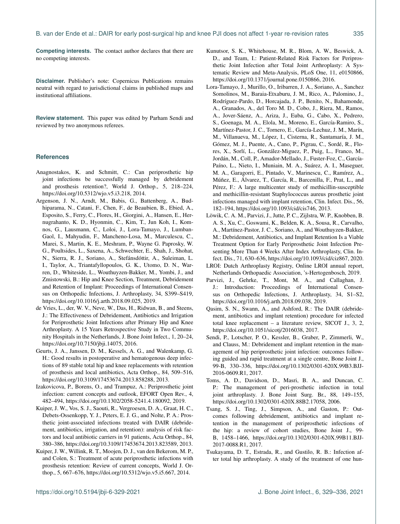**Competing interests.** The contact author declares that there are no competing interests.

**Disclaimer.** Publisher's note: Copernicus Publications remains neutral with regard to jurisdictional claims in published maps and institutional affiliations.

**Review statement.** This paper was edited by Parham Sendi and reviewed by two anonymous referees.

#### **References**

- Anagnostakos, K. and Schmitt, C.: Can periprosthetic hip joint infections be successfully managed by debridement and prosthesis retention?, World J. Orthop., 5, 218–224, https://doi.org[/10.5312/wjo.v5.i3.218,](https://doi.org/10.5312/wjo.v5.i3.218) 2014.
- Argenson, J. N., Arndt, M., Babis, G., Battenberg, A., Budhiparama, N., Catani, F., Chen, F., de Beaubien, B., Ebied, A., Esposito, S., Ferry, C., Flores, H., Giorgini, A., Hansen, E., Hernugrahanto, K. D., Hyonmin, C., Kim, T., Jun Koh, I., Komnos, G., Lausmann, C., Loloi, J., Lora-Tamayo, J., Lumban-Gaol, I., Mahyudin, F., Mancheno-Losa, M., Marculescu, C., Marei, S., Martin, K. E., Meshram, P., Wayne G. Paprosky, W. G., Poultsides, L., Saxena, A., Schwechter, E., Shah, J., Shohat, N., Sierra, R. J., Soriano, A., Stefánsdóttir, A., Suleiman, L. I., Taylor, A., Triantafyllopoulos, G. K., Utomo, D. N., Warren, D., Whiteside, L., Wouthuyzen-Bakker, M., Yombi, J., and Zmistowski, B.: Hip and Knee Section, Treatment, Debridement and Retention of Implant: Proceedings of International Consensus on Orthopedic Infections, J. Arthroplasty, 34, S399–S419, https://doi.org[/10.1016/j.arth.2018.09.025,](https://doi.org/10.1016/j.arth.2018.09.025) 2019.
- de Vries, L., der, W. V., Neve, W., Das, H., Ridwan, B., and Steens, J.: The Effectiveness of Debridement, Antibiotics and Irrigation for Periprosthetic Joint Infections after Primary Hip and Knee Arthroplasty. A 15 Years Retrospective Study in Two Community Hospitals in the Netherlands, J. Bone Joint Infect., 1, 20–24, https://doi.org[/10.7150/jbji.14075,](https://doi.org/10.7150/jbji.14075) 2016.
- Geurts, J. A., Janssen, D. M., Kessels, A. G., and Walenkamp, G. H.: Good results in postoperative and hematogenous deep infections of 89 stable total hip and knee replacements with retention of prosthesis and local antibiotics, Acta Orthop., 84, 509–516, https://doi.org[/10.3109/17453674.2013.858288,](https://doi.org/10.3109/17453674.2013.858288) 2013.
- Izakovicova, P., Borens, O., and Trampuz, A.: Periprosthetic joint infection: current concepts and outlook, EFORT Open Rev., 4, 482–494, https://doi.org[/10.1302/2058-5241.4.180092,](https://doi.org/10.1302/2058-5241.4.180092) 2019.
- Kuiper, J. W., Vos, S. J., Saouti, R., Vergroesen, D. A., Graat, H. C., Debets-Ossenkopp, Y. J., Peters, E. J. G., and Nolte, P. A.: Prosthetic joint-associated infections treated with DAIR (debridement, antibiotics, irrigation, and retention): analysis of risk factors and local antibiotic carriers in 91 patients, Acta Orthop., 84, 380–386, https://doi.org[/10.3109/17453674.2013.823589,](https://doi.org/10.3109/17453674.2013.823589) 2013.
- Kuiper, J. W., Willink, R. T., Moojen, D. J., van den Bekerom, M. P., and Colen, S.: Treatment of acute periprosthetic infections with prosthesis retention: Review of current concepts, World J. Orthop., 5, 667–676, https://doi.org[/10.5312/wjo.v5.i5.667,](https://doi.org/10.5312/wjo.v5.i5.667) 2014.
- Kunutsor, S. K., Whitehouse, M. R., Blom, A. W., Beswick, A. D., and Team, I.: Patient-Related Risk Factors for Periprosthetic Joint Infection after Total Joint Arthroplasty: A Systematic Review and Meta-Analysis, PLoS One, 11, e0150866, https://doi.org[/10.1371/journal.pone.0150866,](https://doi.org/10.1371/journal.pone.0150866) 2016.
- Lora-Tamayo, J., Murillo, O., Iribarren, J. A., Soriano, A., Sanchez Somolinos, M., Baraia-Etxaburu, J. M., Rico, A., Palomino, J., Rodríguez-Pardo, D., Horcajada, J. P., Benito, N., Bahamonde, A., Granados, A., del Toro M. D., Cobo, J., Riera, M., Ramos, A., Jover-Sáenz, A., Ariza, J., Euba, G., Cabo, X., Pedrero, S., Goenaga, M. A., Elola, M., Moreno, E., García-Ramiro, S., Martínez-Pastor, J. C., Tornero, E., García-Lechuz, J. M., Marín, M., Villanueva, M., López, I., Cisterna, R., Santamaría, J. M., Gómez, M. J., Puente, A., Cano, P., Pigrau, C., Sordé, R., Flores, X., Sorlí, L., González-Miguez, P., Puig, L., Franco, M., Jordán, M., Coll, P., Amador-Mellado, J., Fuster-Foz, C., García-Paíno, L., Nieto, I., Muniain, M. A., Suárez, A. I., Maseguer, M. A., Garagorri, E., Pintado, V., Marinescu, C., Ramírez, A., Múñez, E., Álvarez, T., García, R., Barcenilla, F., Prat, L., and Pérez, F.: A large multicenter study of methicillin-susceptible and methicillin-resistant Staphylococcus aureus prosthetic joint infections managed with implant retention, Clin. Infect. Dis., 56, 182–194, https://doi.org[/10.1093/cid/cis746,](https://doi.org/10.1093/cid/cis746) 2013.
- Löwik, C. A. M., Parvizi, J., Jutte, P. C., Zijlstra, W. P., Knobben, B. A. S., Xu, C., Goswami, K., Belden, K. A., Sousa, R., Carvalho, A., Martínez-Pastor, J. C., Soriano, A., and Wouthuyzen-Bakker, M.: Debridement, Antibiotics, and Implant Retention Is a Viable Treatment Option for Early Periprosthetic Joint Infection Presenting More Than 4 Weeks After Index Arthroplasty, Clin. Infect. Dis., 71, 630–636, https://doi.org[/10.1093/cid/ciz867,](https://doi.org/10.1093/cid/ciz867) 2020.
- LROI: Dutch Arthroplasty Registry, Online LROI annual report, Netherlands Orthopaedic Association, 's-Hertogenbosch, 2019.
- Parvizi, J., Gehrke, T., Mont, M. A., and Callaghan, J. J.: Introduction: Proceedings of International Consensus on Orthopedic Infections, J. Arthroplasty, 34, S1–S2, https://doi.org[/10.1016/j.arth.2018.09.038,](https://doi.org/10.1016/j.arth.2018.09.038) 2019.
- Qasim, S. N., Swann, A., and Ashford, R.: The DAIR (debridement, antibiotics and implant retention) procedure for infected total knee replacement – a literature review, SICOT J., 3, 2, https://doi.org[/10.1051/sicotj/2016038,](https://doi.org/10.1051/sicotj/2016038) 2017.
- Sendi, P., Lotscher, P. O., Kessler, B., Graber, P., Zimmerli, W., and Clauss, M.: Debridement and implant retention in the management of hip periprosthetic joint infection: outcomes following guided and rapid treatment at a single centre, Bone Joint J., 99-B, 330–336, https://doi.org[/10.1302/0301-620X.99B3.BJJ-](https://doi.org/10.1302/0301-620X.99B3.BJJ-2016-0609.R1)[2016-0609.R1,](https://doi.org/10.1302/0301-620X.99B3.BJJ-2016-0609.R1) 2017.
- Toms, A. D., Davidson, D., Masri, B. A., and Duncan, C. P.: The management of peri-prosthetic infection in total joint arthroplasty. J. Bone Joint Surg. Br., 88, 149–155, https://doi.org[/10.1302/0301-620X.88B2.17058,](https://doi.org/10.1302/0301-620X.88B2.17058) 2006.
- Tsang, S. J., Ting, J., Simpson, A., and Gaston, P.: Outcomes following debridement, antibiotics and implant retention in the management of periprosthetic infections of the hip: a review of cohort studies, Bone Joint J., 99- B, 1458–1466, https://doi.org[/10.1302/0301-620X.99B11.BJJ-](https://doi.org/10.1302/0301-620X.99B11.BJJ-2017-0088.R1)[2017-0088.R1,](https://doi.org/10.1302/0301-620X.99B11.BJJ-2017-0088.R1) 2017.
- Tsukayama, D. T., Estrada, R., and Gustilo, R. B.: Infection after total hip arthroplasty. A study of the treatment of one hun-